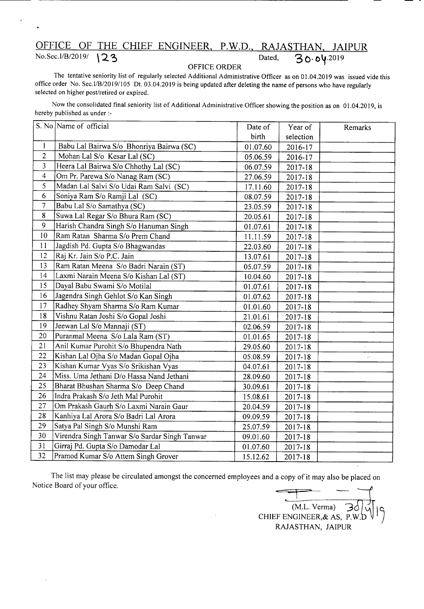## OFFICE OF THE<br>No.Sec.I/B/2019/ 123 OF THE CHIEF ENGINEER, P.W.D., RAJASTHAN, JAIPUR Dated,  $30.04.2019$

## OFFICE ORDER

The tentative seniority list of regularly selected Additional Administrative Officer as on 01.04.2019 was issued vide this office order No. *Sec.IIB/20* 191105 Dt. 03.04.2019 is being updated after deleting the name of persons who have regularly selected on higher post/retired or expired.

Now the consolidated final seniority list of Additional Administrative Officer showing the position as on 01.04.2019, is hereby published as under :-

|                         | S. No Name of official                        | Date of  | Year of     | Remarks                     |
|-------------------------|-----------------------------------------------|----------|-------------|-----------------------------|
|                         |                                               | birth    | selection   |                             |
| $\mathbf{1}$            | Babu Lal Bairwa S/o Bhonriya Bairwa (SC)      | 01.07.60 | 2016-17     |                             |
| $\overline{2}$          | Mohan Lal S/o Kesar Lal (SC)                  | 05.06.59 | 2016-17     |                             |
| $\overline{\mathbf{3}}$ | Heera Lal Bairwa S/o Chhothy Lal (SC)         | 06.07.59 | 2017-18     |                             |
| $\overline{4}$          | Om Pr. Parewa S/o Nanag Ram (SC)              | 27.06.59 | 2017-18     |                             |
| 5                       | Madan Lal Salvi S/o Udai Ram Salvi (SC)       | 17.11.60 | 2017-18     |                             |
| 6                       | Soniya Ram S/o Ramji Lal (SC)                 | 08.07.59 | 2017-18     |                             |
| $\overline{7}$          | Babu Lal S/o Samathya (SC)                    | 23.05.59 | 2017-18     |                             |
| 8                       | Suwa Lal Regar S/o Bhura Ram (SC)             | 20.05.61 | 2017-18     |                             |
| 9                       | Harish Chandra Singh S/o Hanuman Singh        | 01.07.61 | 2017-18     |                             |
| 10                      | Ram Ratan Sharma S/o Prem Chand               | 11.11.59 | 2017-18     |                             |
| 11                      | Jagdish Pd. Gupta S/o Bhagwandas              | 22.03.60 | 2017-18     |                             |
| 12                      | Raj Kr. Jain S/o P.C. Jain                    | 13.07.61 | 2017-18     |                             |
| 13                      | Ram Ratan Meena S/o Badri Narain (ST)         | 05.07.59 | 2017-18     |                             |
| 14                      | Laxmi Narain Meena S/o Kishan Lal (ST)        | 10.04.60 | $2017 - 18$ |                             |
| 15                      | Dayal Babu Swami S/o Motilal                  | 01.07.61 | 2017-18     |                             |
| 16                      | Jagendra Singh Gehlot S/o Kan Singh           | 01.07.62 | 2017-18     |                             |
| 17                      | Radhey Shyam Sharma S/o Ram Kumar             | 01.01.60 | 2017-18     |                             |
| 18                      | Vishnu Ratan Joshi S/o Gopal Joshi            | 21.01.61 | 2017-18     |                             |
| 19                      | Jeewan Lal S/o Mannaji (ST)                   | 02.06.59 | $2017 - 18$ |                             |
| 20                      | Puranmal Meena S/o Lala Ram (ST)              | 01.01.65 | 2017-18     |                             |
| 21                      | Anil Kumar Purohit S/o Bhupendra Nath         | 29.05.60 | $2017 - 18$ |                             |
| 22                      | Kishan Lal Ojha S/o Madan Gopal Ojha          | 05.08.59 | 2017-18     | $\mathcal{C}^{\mathcal{C}}$ |
| 23                      | Kishan Kumar Vyas S/o Srikishan Vyas          | 04.07.61 | 2017-18     |                             |
| 24                      | Miss. Uma Jethani D/o Hassa Nand Jethani      | 28.09.60 | 2017-18     |                             |
| 25                      | Bharat Bhushan Sharma S/o Deep Chand          | 30.09.61 | 2017-18     |                             |
| 26                      | Indra Prakash S/o Jeth Mal Purohit            | 15.08.61 | 2017-18     |                             |
| 27                      | Om Prakash Gaurh S/o Laxmi Narain Gaur        | 20.04.59 | 2017-18     |                             |
| 28                      | Kanhiya Lal Arora S/o Badri Lal Arora         | 09.09.59 | 2017-18     |                             |
| 29                      | Satya Pal Singh S/o Munshi Ram                | 25.07.59 | 2017-18     |                             |
| 30                      | Virendra Singh Tanwar S/o Sardar Singh Tanwar | 09.01.60 | 2017-18     |                             |
| 31                      | Girraj Pd. Gupta S/o Damodar Lal              | 01.07.60 | $2017 - 18$ |                             |
| 32                      | Pramod Kumar S/o Attem Singh Grover           | 15.12.62 | 2017-18     |                             |

The list may please be circulated amongst the concerned employees and a copy of it may also be placed on Notice Board of your office.

 $(M.L.$  Verma)  $\overline{\mathcal{B}}$ CHIEF ENGINEER,& AS, P.W. RAJASTHAN, JAIPUR